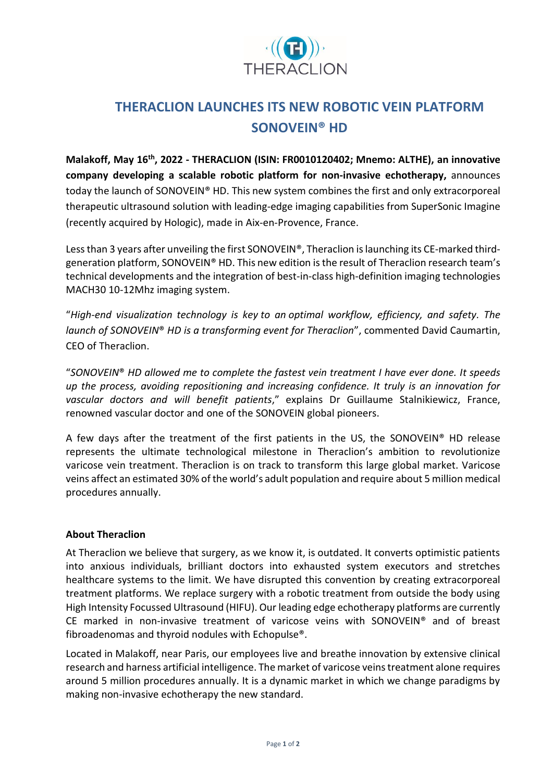

## **THERACLION LAUNCHES ITS NEW ROBOTIC VEIN PLATFORM SONOVEIN® HD**

**Malakoff, May 16th , 2022 - THERACLION (ISIN: FR0010120402; Mnemo: ALTHE), an innovative company developing a scalable robotic platform for non-invasive echotherapy,** announces today the launch of SONOVEIN® HD. This new system combines the first and only extracorporeal therapeutic ultrasound solution with leading-edge imaging capabilities from SuperSonic Imagine (recently acquired by Hologic), made in Aix-en-Provence, France.

Less than 3 years after unveiling the first SONOVEIN®, Theraclion is launching its CE-marked thirdgeneration platform, SONOVEIN® HD. This new edition is the result of Theraclion research team's technical developments and the integration of best-in-class high-definition imaging technologies MACH30 10-12Mhz imaging system.

"*High-end visualization technology is key to an optimal workflow, efficiency, and safety. The launch of SONOVEIN*® *HD is a transforming event for Theraclion*", commented David Caumartin, CEO of Theraclion.

"*SONOVEIN*® *HD allowed me to complete the fastest vein treatment I have ever done. It speeds up the process, avoiding repositioning and increasing confidence. It truly is an innovation for vascular doctors and will benefit patients*," explains Dr Guillaume Stalnikiewicz, France, renowned vascular doctor and one of the SONOVEIN global pioneers.

A few days after the treatment of the first patients in the US, the SONOVEIN® HD release represents the ultimate technological milestone in Theraclion's ambition to revolutionize varicose vein treatment. Theraclion is on track to transform this large global market. Varicose veins affect an estimated 30% of the world's adult population and require about 5 million medical procedures annually.

## **About Theraclion**

At Theraclion we believe that surgery, as we know it, is outdated. It converts optimistic patients into anxious individuals, brilliant doctors into exhausted system executors and stretches healthcare systems to the limit. We have disrupted this convention by creating extracorporeal treatment platforms. We replace surgery with a robotic treatment from outside the body using High Intensity Focussed Ultrasound (HIFU). Our leading edge echotherapy platforms are currently CE marked in non-invasive treatment of varicose veins with SONOVEIN® and of breast fibroadenomas and thyroid nodules with Echopulse®.

Located in Malakoff, near Paris, our employees live and breathe innovation by extensive clinical research and harness artificial intelligence. The market of varicose veins treatment alone requires around 5 million procedures annually. It is a dynamic market in which we change paradigms by making non-invasive echotherapy the new standard.